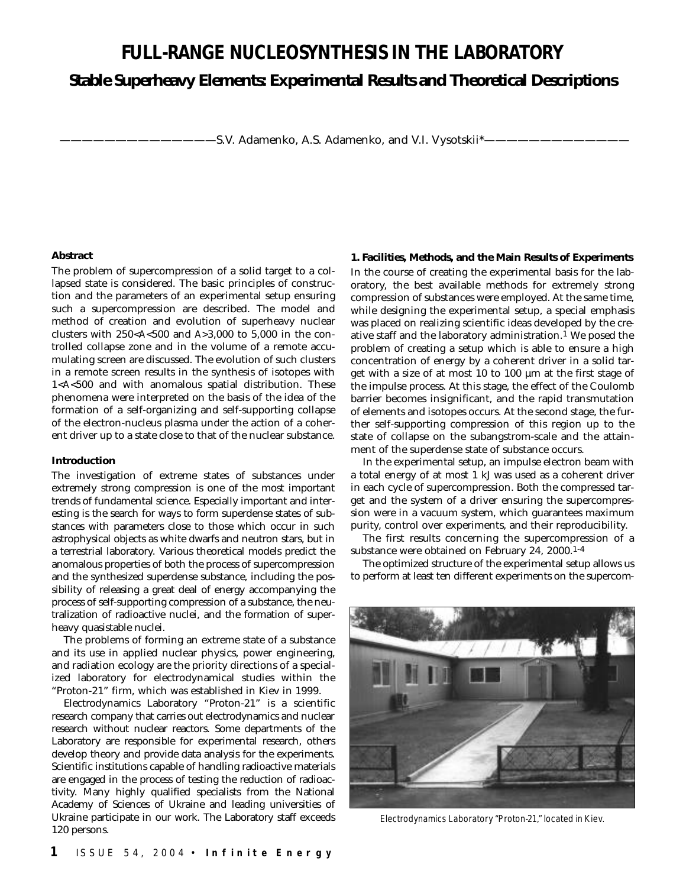# **FULL-RANGE NUCLEOSYNTHESIS IN THE LABORATORY**

# **Stable Superheavy Elements: Experimental Results and Theoretical Descriptions**

-S.V. Adamenko, A.S. Adamenko, and V.I. Vysotskii\*-

#### **Abstract**

The problem of supercompression of a solid target to a collapsed state is considered. The basic principles of construction and the parameters of an experimental setup ensuring such a supercompression are described. The model and method of creation and evolution of superheavy nuclear clusters with 250<*A*<500 and *A>*3,000 to 5,000 in the controlled collapse zone and in the volume of a remote accumulating screen are discussed. The evolution of such clusters in a remote screen results in the synthesis of isotopes with 1<*A*<500 and with anomalous spatial distribution. These phenomena were interpreted on the basis of the idea of the formation of a self-organizing and self-supporting collapse of the electron-nucleus plasma under the action of a coherent driver up to a state close to that of the nuclear substance.

#### **Introduction**

The investigation of extreme states of substances under extremely strong compression is one of the most important trends of fundamental science. Especially important and interesting is the search for ways to form superdense states of substances with parameters close to those which occur in such astrophysical objects as white dwarfs and neutron stars, but in a terrestrial laboratory. Various theoretical models predict the anomalous properties of both the process of supercompression and the synthesized superdense substance, including the possibility of releasing a great deal of energy accompanying the process of self-supporting compression of a substance, the neutralization of radioactive nuclei, and the formation of superheavy quasistable nuclei.

The problems of forming an extreme state of a substance and its use in applied nuclear physics, power engineering, and radiation ecology are the priority directions of a specialized laboratory for electrodynamical studies within the "Proton-21" firm, which was established in Kiev in 1999.

Electrodynamics Laboratory "Proton-21" is a scientific research company that carries out electrodynamics and nuclear research without nuclear reactors. Some departments of the Laboratory are responsible for experimental research, others develop theory and provide data analysis for the experiments. Scientific institutions capable of handling radioactive materials are engaged in the process of testing the reduction of radioactivity. Many highly qualified specialists from the National Academy of Sciences of Ukraine and leading universities of Ukraine participate in our work. The Laboratory staff exceeds 120 persons.

# **1. Facilities, Methods, and the Main Results of Experiments**

In the course of creating the experimental basis for the laboratory, the best available methods for extremely strong compression of substances were employed. At the same time, while designing the experimental setup, a special emphasis was placed on realizing scientific ideas developed by the creative staff and the laboratory administration.<sup>1</sup> We posed the problem of creating a setup which is able to ensure a high concentration of energy by a coherent driver in a solid target with a size of at most 10 to 100 µm at the first stage of the impulse process. At this stage, the effect of the Coulomb barrier becomes insignificant, and the rapid transmutation of elements and isotopes occurs. At the second stage, the further self-supporting compression of this region up to the state of collapse on the subangstrom-scale and the attainment of the superdense state of substance occurs.

In the experimental setup, an impulse electron beam with a total energy of at most 1 kJ was used as a coherent driver in each cycle of supercompression. Both the compressed target and the system of a driver ensuring the supercompression were in a vacuum system, which guarantees maximum purity, control over experiments, and their reproducibility.

The first results concerning the supercompression of a substance were obtained on February 24, 2000.<sup>1-4</sup>

The optimized structure of the experimental setup allows us to perform at least ten different experiments on the supercom-



Electrodynamics Laboratory "Proton-21," located in Kiev.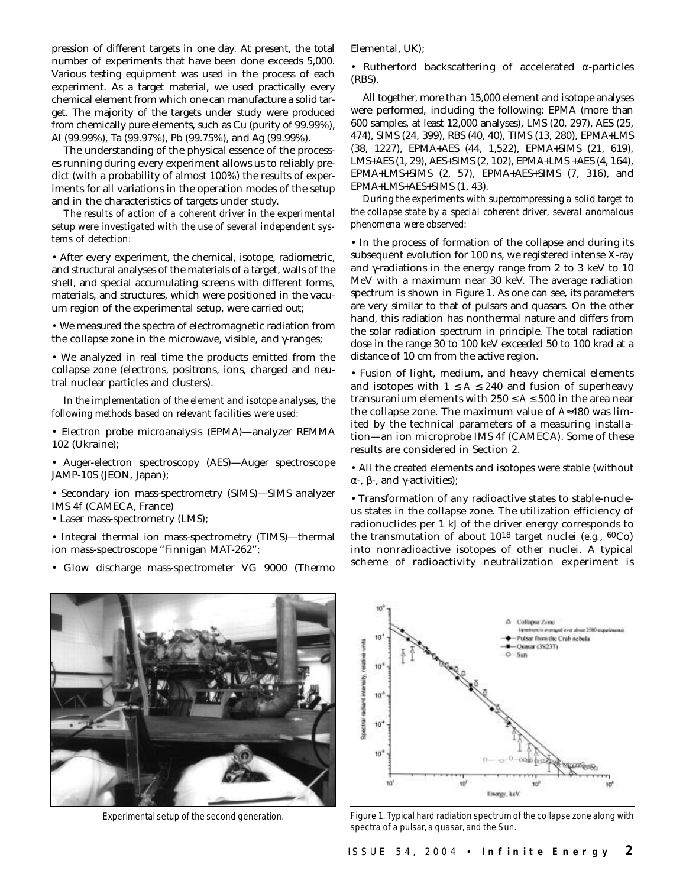pression of different targets in one day. At present, the total number of experiments that have been done exceeds 5,000. Various testing equipment was used in the process of each experiment. As a target material, we used practically every chemical element from which one can manufacture a solid target. The majority of the targets under study were produced from chemically pure elements, such as Cu (purity of 99.99%), Al (99.99%), Ta (99.97%), Pb (99.75%), and Ag (99.99%).

The understanding of the physical essence of the processes running during every experiment allows us to reliably predict (with a probability of almost 100%) the results of experiments for all variations in the operation modes of the setup and in the characteristics of targets under study.

*The results of action of a coherent driver in the experimental setup were investigated with the use of several independent systems of detection:*

• After every experiment, the chemical, isotope, radiometric, and structural analyses of the materials of a target, walls of the shell, and special accumulating screens with different forms, materials, and structures, which were positioned in the vacuum region of the experimental setup, were carried out;

• We measured the spectra of electromagnetic radiation from the collapse zone in the microwave, visible, and γ-ranges;

• We analyzed in real time the products emitted from the collapse zone (electrons, positrons, ions, charged and neutral nuclear particles and clusters).

*In the implementation of the element and isotope analyses, the following methods based on relevant facilities were used:*

• Electron probe microanalysis (EPMA)—analyzer REMMA 102 (Ukraine);

• Auger-electron spectroscopy (AES)—Auger spectroscope JAMP-10S (JEON, Japan);

• Secondary ion mass-spectrometry (SIMS)—SIMS analyzer IMS 4f (CAMECA, France)

• Laser mass-spectrometry (LMS);

• Integral thermal ion mass-spectrometry (TIMS)—thermal ion mass-spectroscope "Finnigan MAT-262";

• Glow discharge mass-spectrometer VG 9000 (Thermo

Elemental, UK);

• Rutherford backscattering of accelerated α-particles (RBS).

All together, more than 15,000 element and isotope analyses were performed, including the following: EPMA (more than 600 samples, at least 12,000 analyses), LMS (20, 297), AES (25, 474), SIMS (24, 399), RBS (40, 40), TIMS (13, 280), EPMA+LMS (38, 1227), EPMA+AES (44, 1,522), EPMA+SIMS (21, 619), LMS+AES (1, 29), AES+SIMS (2, 102), EPMA+LMS +AES (4, 164), EPMA+LMS+SIMS (2, 57), EPMA+AES+SIMS (7, 316), and EPMA+LMS+AES+SIMS (1, 43).

*During the experiments with supercompressing a solid target to the collapse state by a special coherent driver, several anomalous phenomena were observed:*

• In the process of formation of the collapse and during its subsequent evolution for 100 ns, we registered intense X-ray and  $\gamma$ -radiations in the energy range from 2 to 3 keV to 10 MeV with a maximum near 30 keV. The average radiation spectrum is shown in Figure 1. As one can see, its parameters are very similar to that of pulsars and quasars. On the other hand, this radiation has nonthermal nature and differs from the solar radiation spectrum in principle. The total radiation dose in the range 30 to 100 keV exceeded 50 to 100 krad at a distance of 10 cm from the active region.

• Fusion of light, medium, and heavy chemical elements and isotopes with  $1 \leq A \leq 240$  and fusion of superheavy transuranium elements with  $250 \le A \le 500$  in the area near the collapse zone. The maximum value of *A*≈480 was limited by the technical parameters of a measuring installation—an ion microprobe IMS 4f (CAMECA). Some of these results are considered in Section 2.

• All the created elements and isotopes were stable (without α-, β-, and γ-activities);

• Transformation of any radioactive states to stable-nucleus states in the collapse zone. The utilization efficiency of radionuclides per 1 kJ of the driver energy corresponds to the transmutation of about 1018 target nuclei (*e.g.*, 60Co) into nonradioactive isotopes of other nuclei. A typical scheme of radioactivity neutralization experiment is



Experimental setup of the second generation.



Figure 1. Typical hard radiation spectrum of the collapse zone along with spectra of a pulsar, a quasar, and the Sun.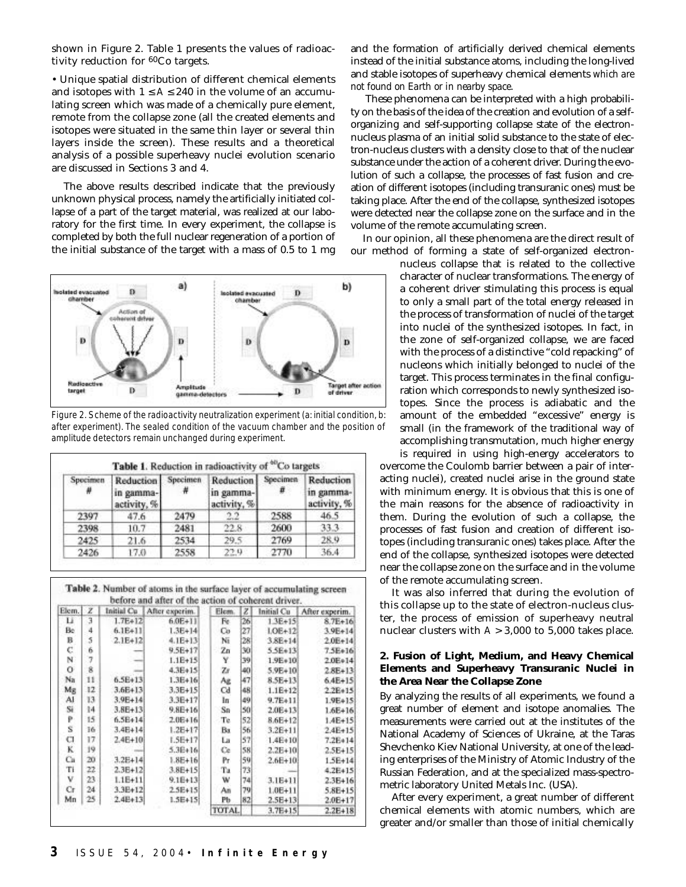shown in Figure 2. Table 1 presents the values of radioactivity reduction for 60Co targets.

• Unique spatial distribution of different chemical elements and isotopes with  $1 \le A \le 240$  in the volume of an accumulating screen which was made of a chemically pure element, remote from the collapse zone (all the created elements and isotopes were situated in the same thin layer or several thin layers inside the screen). These results and a theoretical analysis of a possible superheavy nuclei evolution scenario are discussed in Sections 3 and 4.

The above results described indicate that the previously unknown physical process, namely the artificially initiated collapse of a part of the target material, was realized at our laboratory for the first time. In every experiment, the collapse is completed by both the full nuclear regeneration of a portion of the initial substance of the target with a mass of 0.5 to 1 mg



Figure 2. Scheme of the radioactivity neutralization experiment (a: initial condition, b: after experiment). The sealed condition of the vacuum chamber and the position of amplitude detectors remain unchanged during experiment.

| Specimen<br>₩ | Reduction Specimen<br>in gamma-<br>activity, % | 2479<br>2481 | Reduction Specimen<br>in gamma-<br>activity, % |      | Reduction<br>in gamma-<br>activity, %<br>46.5<br>33.3 |
|---------------|------------------------------------------------|--------------|------------------------------------------------|------|-------------------------------------------------------|
| 2397          | 47.6                                           |              | 2.2                                            | 2588 |                                                       |
| 2398          | 10.7                                           |              | 22.8                                           | 2600 |                                                       |
| 2425          | 21.6                                           | 2534         | 29.5                                           | 2769 | 28.9                                                  |
| 2426          | 17.0                                           | 2558         | 22.9                                           | 2770 | 36.4                                                  |

Table 2. Number of atoms in the surface layer of accumulating screen before and after of the action of coherent driver

| Elem. | z  | Initial Cu  | After experim. | Elem.        | z  | Initial Cu  | After experim. |
|-------|----|-------------|----------------|--------------|----|-------------|----------------|
| Ц     | 3  | $1.7E+12$   | $6.0E + 11$    | Fe.          | 26 | $1.3E+15$   | $8.7E + 16$    |
| Be    | 4  | $6.1E+11$   | $1.3E+14$      | Co           | 27 | $LOE+12$    | $3.9E + 14$    |
| в     | 5  | $2.1E+12$   | $4.1E + 13$    | Nī           | 28 | $3.8E + 14$ | $2.0E + 14$    |
| c     | 6  |             | $9.5E + 17$    | Zn           | 30 | $5.5E+13$   | $7.5E+16$      |
| N     | 7  |             | $1.1E+15$      | Y            | 39 | $1.9E*10$   | 2.0E+14        |
| 0     | 8  |             | $4.3E + 15$    | Zr           | 40 | $5.9E + 10$ | $2.8E + 13$    |
| Na    | 11 | $6.5E+13$   | $1.3E+16$      | Αë           | 47 | $8.5E+13$   | $6.4E + 15$    |
| Мg    | 12 | $3.6E + 13$ | 3.3E+15        | Cd           | 48 | $1.1E+12$   | $2.2E+15$      |
| Al    | 13 | $3.9E + 14$ | $3.3E+17$      | lп           | 49 | $9.7E+11$   | 1.9E+15        |
| Si    | 14 | $3.8E + 13$ | $9.8E + 16$    | Sn           | 50 | 2.0E+13     | 1.6E+16        |
| p     | 15 | $6.5E + 14$ | $2.0E + 16$    | Тe           | 52 | $8.6E+12$   | $1.4E + 15$    |
| Ś     | ī6 | $3.4E + 14$ | $1.2E + 17$    | Ba           | 56 | $3.2E+11$   | $2.4E + 15$    |
| а     | 17 | $2.4E + 10$ | $1.5E + 17$    | La           | 57 | $1.4E+10$   | $7.2E+14$      |
| ĸ     | 19 |             | $5.3E + 16$    | Ce           | 58 | $2.2E+10$   | $2.5E + 15$    |
| Сu    | 20 | $3.2E + 14$ | $1.8E + 16$    | Pr           | 59 | $2.6E + 10$ | $1.5E + 14$    |
| Ti    | 22 | $2.3E+12$   | $3.8E + 15$    | Тa           | 73 |             | $4.2E + 15$    |
| v     | 23 | $1.1E+11$   | $9.1E+13$      | w            | 74 | $3.1E+11$   | $2.3E+16$      |
| Сr    | 24 | $3.3E+12$   | 2.5E+15        | An           | 79 | $1.0E + 11$ | 5.8E+15        |
| Mn    | 25 | $2.4E+13$   | $1.5E + 15$    | Рb           | 82 | $2.5E + 13$ | 2.0E+17        |
|       |    |             |                | <b>TOTAL</b> |    | $3.7E+15$   | $2.2E+18$      |

and the formation of artificially derived chemical elements instead of the initial substance atoms, including the long-lived and stable isotopes of superheavy chemical elements *which are not found on Earth or in nearby space*.

These phenomena can be interpreted with a high probability on the basis of the idea of the creation and evolution of a selforganizing and self-supporting collapse state of the electronnucleus plasma of an initial solid substance to the state of electron-nucleus clusters with a density close to that of the nuclear substance under the action of a coherent driver. During the evolution of such a collapse, the processes of fast fusion and creation of different isotopes (including transuranic ones) must be taking place. After the end of the collapse, synthesized isotopes were detected near the collapse zone on the surface and in the volume of the remote accumulating screen.

In our opinion, all these phenomena are the direct result of our method of forming a state of self-organized electron-

nucleus collapse that is related to the collective character of nuclear transformations. The energy of a coherent driver stimulating this process is equal to only a small part of the total energy released in the process of transformation of nuclei of the target into nuclei of the synthesized isotopes. In fact, in the zone of self-organized collapse, we are faced with the process of a distinctive "cold repacking" of nucleons which initially belonged to nuclei of the target. This process terminates in the final configuration which corresponds to newly synthesized isotopes. Since the process is adiabatic and the amount of the embedded "excessive" energy is small (in the framework of the traditional way of accomplishing transmutation, much higher energy

is required in using high-energy accelerators to overcome the Coulomb barrier between a pair of interacting nuclei), created nuclei arise in the ground state with minimum energy. It is obvious that this is one of the main reasons for the absence of radioactivity in them. During the evolution of such a collapse, the processes of fast fusion and creation of different isotopes (including transuranic ones) takes place. After the end of the collapse, synthesized isotopes were detected near the collapse zone on the surface and in the volume of the remote accumulating screen.

It was also inferred that during the evolution of this collapse up to the state of electron-nucleus cluster, the process of emission of superheavy neutral nuclear clusters with  $A > 3,000$  to 5,000 takes place.

#### **2. Fusion of Light, Medium, and Heavy Chemical Elements and Superheavy Transuranic Nuclei in the Area Near the Collapse Zone**

By analyzing the results of all experiments, we found a great number of element and isotope anomalies. The measurements were carried out at the institutes of the National Academy of Sciences of Ukraine, at the Taras Shevchenko Kiev National University, at one of the leading enterprises of the Ministry of Atomic Industry of the Russian Federation, and at the specialized mass-spectrometric laboratory United Metals Inc. (USA).

After every experiment, a great number of different chemical elements with atomic numbers, which are greater and/or smaller than those of initial chemically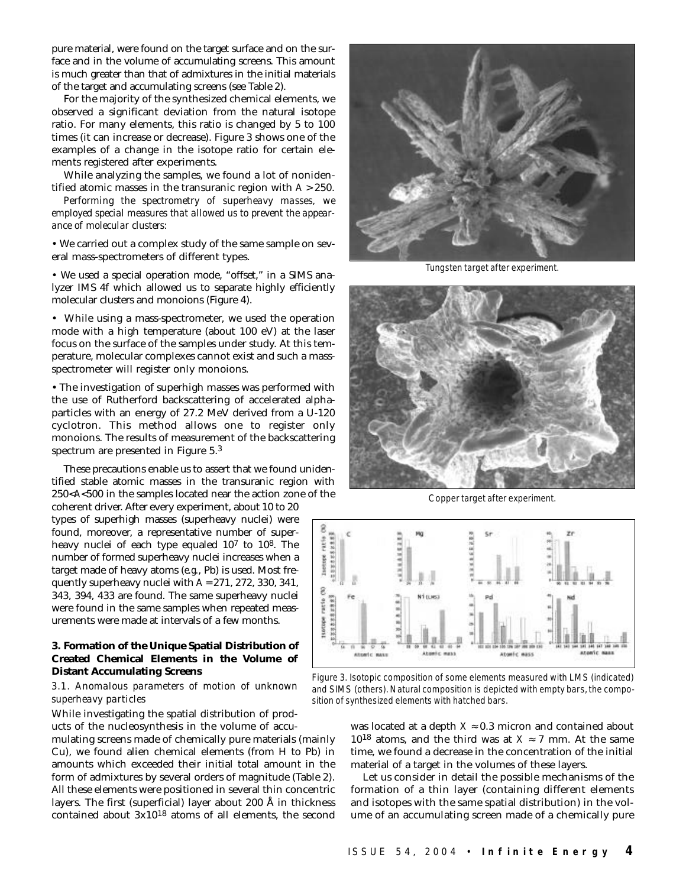pure material, were found on the target surface and on the surface and in the volume of accumulating screens. This amount is much greater than that of admixtures in the initial materials of the target and accumulating screens (see Table 2).

For the majority of the synthesized chemical elements, we observed a significant deviation from the natural isotope ratio. For many elements, this ratio is changed by 5 to 100 times (it can increase or decrease). Figure 3 shows one of the examples of a change in the isotope ratio for certain elements registered after experiments.

While analyzing the samples, we found a lot of nonidentified atomic masses in the transuranic region with *A* > 250.

*Performing the spectrometry of superheavy masses, we employed special measures that allowed us to prevent the appearance of molecular clusters:*

• We carried out a complex study of the same sample on several mass-spectrometers of different types.

• We used a special operation mode, "offset," in a SIMS analyzer IMS 4f which allowed us to separate highly efficiently molecular clusters and monoions (Figure 4).

• While using a mass-spectrometer, we used the operation mode with a high temperature (about 100 eV) at the laser focus on the surface of the samples under study. At this temperature, molecular complexes cannot exist and such a massspectrometer will register only monoions.

• The investigation of superhigh masses was performed with the use of Rutherford backscattering of accelerated alphaparticles with an energy of 27.2 MeV derived from a U-120 cyclotron. This method allows one to register only monoions. The results of measurement of the backscattering spectrum are presented in Figure 5.3

These precautions enable us to assert that we found unidentified stable atomic masses in the transuranic region with 250<*A*<500 in the samples located near the action zone of the

coherent driver. After every experiment, about 10 to 20 types of superhigh masses (superheavy nuclei) were found, moreover, a representative number of superheavy nuclei of each type equaled 107 to 108. The number of formed superheavy nuclei increases when a target made of heavy atoms (*e.g.*, Pb) is used. Most frequently superheavy nuclei with *A* = 271, 272, 330, 341, 343, 394, 433 are found. The same superheavy nuclei were found in the same samples when repeated measurements were made at intervals of a few months.

# **3. Formation of the Unique Spatial Distribution of Created Chemical Elements in the Volume of Distant Accumulating Screens**

# *3.1. Anomalous parameters of motion of unknown superheavy particles*

While investigating the spatial distribution of prod-

ucts of the nucleosynthesis in the volume of accumulating screens made of chemically pure materials (mainly Cu), we found alien chemical elements (from H to Pb) in amounts which exceeded their initial total amount in the form of admixtures by several orders of magnitude (Table 2). All these elements were positioned in several thin concentric layers. The first (superficial) layer about 200 Å in thickness contained about 3x1018 atoms of all elements, the second



Tungsten target after experiment.



Copper target after experiment.



Figure 3. Isotopic composition of some elements measured with LMS (indicated) and SIMS (others). Natural composition is depicted with empty bars, the composition of synthesized elements with hatched bars.

was located at a depth  $X \approx 0.3$  micron and contained about 10<sup>18</sup> atoms, and the third was at  $X \approx 7$  mm. At the same time, we found a decrease in the concentration of the initial material of a target in the volumes of these layers.

Let us consider in detail the possible mechanisms of the formation of a thin layer (containing different elements and isotopes with the same spatial distribution) in the volume of an accumulating screen made of a chemically pure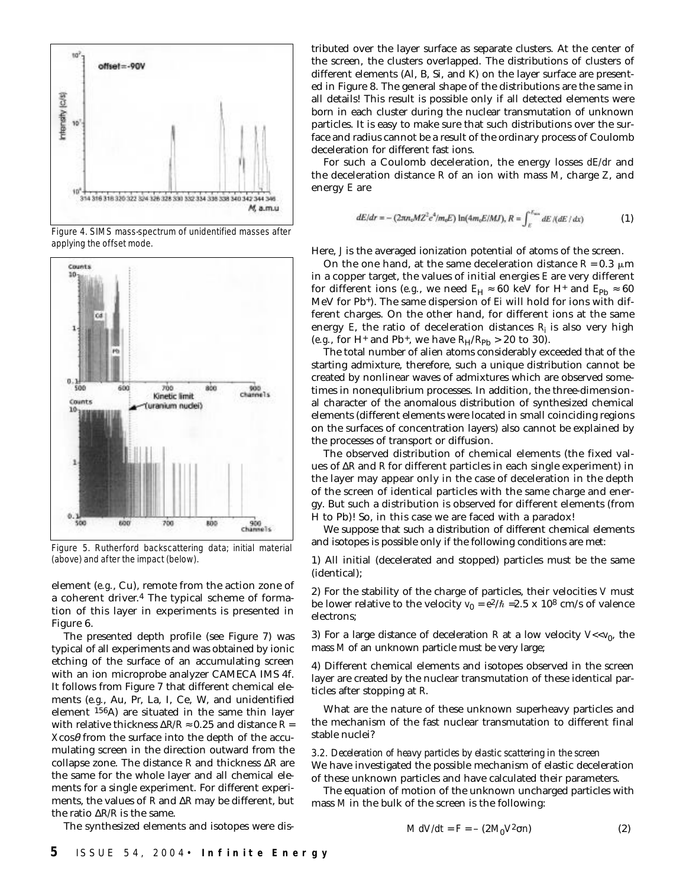

Figure 4. SIMS mass-spectrum of unidentified masses after applying the offset mode.



Figure 5. Rutherford backscattering data; initial material (above) and after the impact (below).

element (*e.g.*, Cu), remote from the action zone of a coherent driver.4 The typical scheme of formation of this layer in experiments is presented in Figure 6.

The presented depth profile (see Figure 7) was typical of all experiments and was obtained by ionic etching of the surface of an accumulating screen with an ion microprobe analyzer CAMECA IMS 4f. It follows from Figure 7 that different chemical elements (*e.g.*, Au, Pr, La, I, Ce, W, and unidentified element 156A) are situated in the same thin layer with relative thickness  $\Delta R/R \approx 0.25$  and distance  $R=$  $X \cos \theta$  from the surface into the depth of the accumulating screen in the direction outward from the collapse zone. The distance *R* and thickness ∆*R* are the same for the whole layer and all chemical elements for a single experiment. For different experiments, the values of *R* and ∆*R* may be different, but the ratio ∆*R/R* is the same.

tributed over the layer surface as separate clusters. At the center of the screen, the clusters overlapped. The distributions of clusters of different elements (Al, B, Si, and K) on the layer surface are presented in Figure 8. The general shape of the distributions are the same in all details! This result is possible only if all detected elements were born in each cluster during the nuclear transmutation of unknown particles. It is easy to make sure that such distributions over the surface and radius cannot be a result of the ordinary process of Coulomb deceleration for different fast ions.

For such a Coulomb deceleration, the energy losses *dE/dr* and the deceleration distance *R* of an ion with mass *M*, charge *Z*, and energy *E* are

$$
dE/dr = -(2\pi n_e M Z^2 e^4/m_e E) \ln(4m_e E/MJ), R = \int_E^{\hbar_{\text{max}}} dE / (dE / dx)
$$
 (1)

Here, *J* is the averaged ionization potential of atoms of the screen.

On the one hand, at the same deceleration distance  $R = 0.3 \mu m$ in a copper target, the values of initial energies *E* are very different for different ions (*e.g.*, we need  $E_H \approx 60$  keV for H<sup>+</sup> and  $E_{\rm Pb} \approx 60$ MeV for Pb+). The same dispersion of *Ei* will hold for ions with different charges. On the other hand, for different ions at the same energy  $E$ , the ratio of deceleration distances  $R_i$  is also very high (*e.g.*, for H<sup>+</sup> and Pb<sup>+</sup>, we have  $R_H/R_{Pb} > 20$  to 30).

The total number of alien atoms considerably exceeded that of the starting admixture, therefore, such a unique distribution cannot be created by nonlinear waves of admixtures which are observed sometimes in nonequlibrium processes. In addition, the three-dimensional character of the anomalous distribution of synthesized chemical elements (different elements were located in small coinciding regions on the surfaces of concentration layers) also cannot be explained by the processes of transport or diffusion.

The observed distribution of chemical elements (the fixed values of ∆*R* and *R* for different particles in each single experiment) in the layer may appear only in the case of deceleration in the depth of the screen of identical particles with the same charge and energy. But such a distribution is observed for different elements (from H to Pb)! So, in this case we are faced with a paradox!

We suppose that such a distribution of different chemical elements and isotopes is possible only if the following conditions are met:

1) All initial (decelerated and stopped) particles must be the same (identical);

2) For the stability of the charge of particles, their velocities *V* must be lower relative to the velocity  $v_0 = e^2/\hbar = 2.5 \times 10^8$  cm/s of valence electrons;

3) For a large distance of deceleration *R* at a low velocity  $V \ll v_0$ , the mass *M* of an unknown particle must be very large;

4) Different chemical elements and isotopes observed in the screen layer are created by the nuclear transmutation of these identical particles after stopping at *R*.

What are the nature of these unknown superheavy particles and the mechanism of the fast nuclear transmutation to different final stable nuclei?

# *3.2. Deceleration of heavy particles by elastic scattering in the screen* We have investigated the possible mechanism of elastic deceleration

of these unknown particles and have calculated their parameters. The equation of motion of the unknown uncharged particles with mass *M* in the bulk of the screen is the following:

The synthesized elements and isotopes were dis-

$$
M dV/dt = F = -(2M_0 V^2 \sigma n) \tag{2}
$$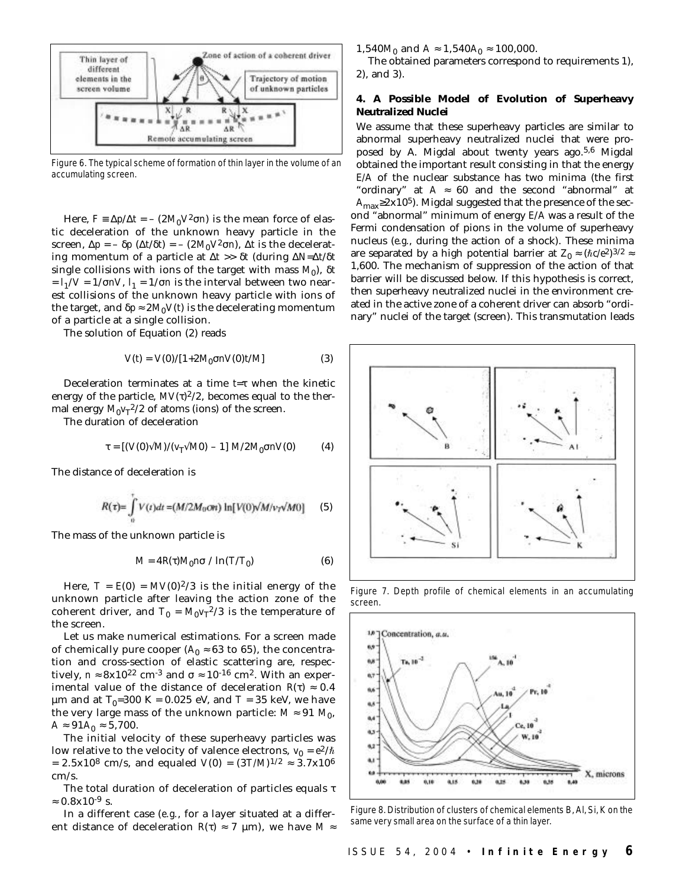

Figure 6. The typical scheme of formation of thin layer in the volume of an accumulating screen.

Here,  $F \equiv \Delta p / \Delta t = - (2M_0 V^2 \sigma n)$  is the mean force of elastic deceleration of the unknown heavy particle in the screen,  $\Delta p = -\delta p$  ( $\Delta t/\delta t$ ) = – (2*M*<sub>0</sub> $V^2 \sigma n$ ),  $\Delta t$  is the decelerating momentum of a particle at ∆*t* >> δ*t* (during ∆*N*=∆*t*/δ*t* single collisions with ions of the target with mass  $M_0$ ),  $\delta t$  $=$   $l_1$ /*V* = 1/σ*nV*,  $l_1$  = 1/σ*n* is the interval between two nearest collisions of the unknown heavy particle with ions of the target, and  $\delta p \approx 2 M_0 V(t)$  is the decelerating momentum of a particle at a single collision.

The solution of Equation (2) reads

$$
V(t) = V(0)/[1+2M_0\sigma nV(0)t/M]
$$
 (3)

Deceleration terminates at a time *t*=τ when the kinetic energy of the particle,  $MV(\tau)^{2/2}$ , becomes equal to the thermal energy  $M_0 v_T^2/2$  of atoms (ions) of the screen.

The duration of deceleration

$$
\tau = [(V(0)\sqrt{M})/(v_{\rm T}\sqrt{M0}) - 1] M/2M_0 \sigma n V(0)
$$
 (4)

The distance of deceleration is

$$
R(\tau) = \int_{0}^{\tau} V(t)dt = (M/2M_0 \text{Ort}) \ln[V(0)/M/\nu_T \sqrt{M_0}] \qquad (5)
$$

The mass of the unknown particle is

$$
M = 4R(\tau)M_0 n\sigma / \ln(T/T_0)
$$
 (6)

Here,  $T = E(0) = MV(0)^{2}/3$  is the initial energy of the unknown particle after leaving the action zone of the coherent driver, and  $T_0 = M_0 v_T^{2/3}$  is the temperature of the screen.

Let us make numerical estimations. For a screen made of chemically pure cooper ( $A_0 \approx 63$  to 65), the concentration and cross-section of elastic scattering are, respectively,  $n \approx 8x10^{22}$  cm<sup>-3</sup> and  $\sigma \approx 10^{-16}$  cm<sup>2</sup>. With an experimental value of the distance of deceleration  $R(\tau) \approx 0.4$ µm and at  $T_0$ =300 K = 0.025 eV, and *T* = 35 keV, we have the very large mass of the unknown particle:  $M \approx 91 M_0$ ,  $A \approx 91A_0 \approx 5,700.$ 

The initial velocity of these superheavy particles was low relative to the velocity of valence electrons,  $v_0 = e^2/\hbar$ = 2.5x10<sup>8</sup> cm/s, and equaled *V*(0) =  $(3T/M)^{1/2} \approx 3.7x10^6$ cm/s.

The total duration of deceleration of particles equals τ  $\approx 0.8x10^{-9}$  s.

In a different case (*e.g.*, for a layer situated at a different distance of deceleration  $R(\tau) \approx 7 \text{ }\mu\text{m}$ , we have  $M \approx$  1,540*M*<sup>0</sup> and *A* ≈ 1,540*A*<sup>0</sup> ≈ 100,000.

The obtained parameters correspond to requirements 1), 2), and 3).

# **4. A Possible Model of Evolution of Superheavy Neutralized Nuclei**

We assume that these superheavy particles are similar to abnormal superheavy neutralized nuclei that were proposed by A. Migdal about twenty years ago.5,6 Migdal obtained the important result consisting in that the energy *E/A* of the nuclear substance has two minima (the first "ordinary" at  $A \approx 60$  and the second "abnormal" at  $A_{\text{max}} \geq 2x10^5$ ). Migdal suggested that the presence of the second "abnormal" minimum of energy *E*/*A* was a result of the Fermi condensation of pions in the volume of superheavy nucleus (*e.g.*, during the action of a shock). These minima are separated by a high potential barrier at  $Z_0 \approx (\hbar c/e^2)^{3/2} \approx$ 1,600. The mechanism of suppression of the action of that barrier will be discussed below. If this hypothesis is correct, then superheavy neutralized nuclei in the environment created in the active zone of a coherent driver can absorb "ordinary" nuclei of the target (screen). This transmutation leads



Figure 7. Depth profile of chemical elements in an accumulating screen.



Figure 8. Distribution of clusters of chemical elements B, Al, Si, K on the same very small area on the surface of a thin layer.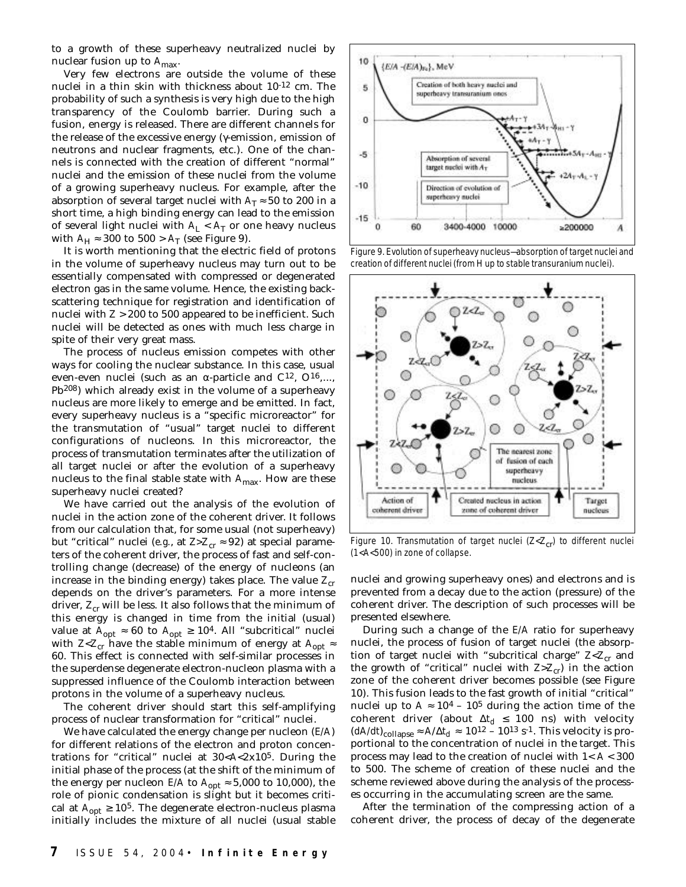to a growth of these superheavy neutralized nuclei by nuclear fusion up to  $A_{\text{max}}$ .

Very few electrons are outside the volume of these nuclei in a thin skin with thickness about 10-12 cm. The probability of such a synthesis is very high due to the high transparency of the Coulomb barrier. During such a fusion, energy is released. There are different channels for the release of the excessive energy (γ-emission, emission of neutrons and nuclear fragments, etc.). One of the channels is connected with the creation of different "normal" nuclei and the emission of these nuclei from the volume of a growing superheavy nucleus. For example, after the absorption of several target nuclei with  $A_T \approx 50$  to 200 in a short time, a high binding energy can lead to the emission of several light nuclei with  $A_L < A_T$  or one heavy nucleus with  $A_H \approx 300$  to  $500 > A_T$  (see Figure 9).

It is worth mentioning that the electric field of protons in the volume of superheavy nucleus may turn out to be essentially compensated with compressed or degenerated electron gas in the same volume. Hence, the existing backscattering technique for registration and identification of nuclei with *Z* > 200 to 500 appeared to be inefficient. Such nuclei will be detected as ones with much less charge in spite of their very great mass.

The process of nucleus emission competes with other ways for cooling the nuclear substance. In this case, usual even-even nuclei (such as an  $\alpha$ -particle and  $C^{12}$ ,  $O^{16}$ ,..., Pb208) which already exist in the volume of a superheavy nucleus are more likely to emerge and be emitted. In fact, every superheavy nucleus is a "specific microreactor" for the transmutation of "usual" target nuclei to different configurations of nucleons. In this microreactor, the process of transmutation terminates after the utilization of all target nuclei or after the evolution of a superheavy nucleus to the final stable state with *A*max. How are these superheavy nuclei created?

We have carried out the analysis of the evolution of nuclei in the action zone of the coherent driver. It follows from our calculation that, for some usual (not superheavy) but "critical" nuclei (*e.g.*, at  $Z>Z_{cr} \approx 92$ ) at special parameters of the coherent driver, the process of fast and self-controlling change (decrease) of the energy of nucleons (an increase in the binding energy) takes place. The value  $Z_{cr}$ depends on the driver's parameters. For a more intense driver,  $Z_{cr}$  will be less. It also follows that the minimum of this energy is changed in time from the initial (usual) value at  $A_{opt} \approx 60$  to  $A_{opt} \ge 10^4$ . All "subcritical" nuclei with *Z*<*Z*<sub>cr</sub> have the stable minimum of energy at  $A_{\text{opt}} \approx$ 60. This effect is connected with self-similar processes in the superdense degenerate electron-nucleon plasma with a suppressed influence of the Coulomb interaction between protons in the volume of a superheavy nucleus.

The coherent driver should start this self-amplifying process of nuclear transformation for "critical" nuclei.

We have calculated the energy change per nucleon (*E/A*) for different relations of the electron and proton concentrations for "critical" nuclei at 30<*A*<2x105. During the initial phase of the process (at the shift of the minimum of the energy per nucleon *E/A* to  $A_{opt} \approx 5,000$  to 10,000), the role of pionic condensation is slight but it becomes critical at  $A_{\text{opt}} \ge 10^5$ . The degenerate electron-nucleus plasma initially includes the mixture of all nuclei (usual stable



Figure 9. Evolution of superheavy nucleus-absorption of target nuclei and creation of different nuclei (from H up to stable transuranium nuclei).



Figure 10. Transmutation of target nuclei ( $Z < Z_{cr}$ ) to different nuclei (1<A<500) in zone of collapse.

nuclei and growing superheavy ones) and electrons and is prevented from a decay due to the action (pressure) of the coherent driver. The description of such processes will be presented elsewhere.

During such a change of the *E/A* ratio for superheavy nuclei, the process of fusion of target nuclei (the absorption of target nuclei with "subcritical charge"  $Z < Z_{cr}$  and the growth of "critical" nuclei with  $Z > Z_{cr}$ ) in the action zone of the coherent driver becomes possible (see Figure 10). This fusion leads to the fast growth of initial "critical" nuclei up to  $A \approx 10^4$  – 10<sup>5</sup> during the action time of the coherent driver (about ∆*td* ≤ 100 ns) with velocity  $(dA/dt)_{\text{collapse}} \approx A/\Delta t_d \approx 10^{12} - 10^{13} \text{ s}^{-1}$ . This velocity is proportional to the concentration of nuclei in the target. This process may lead to the creation of nuclei with 1< *A* < 300 to 500. The scheme of creation of these nuclei and the scheme reviewed above during the analysis of the processes occurring in the accumulating screen are the same.

After the termination of the compressing action of a coherent driver, the process of decay of the degenerate